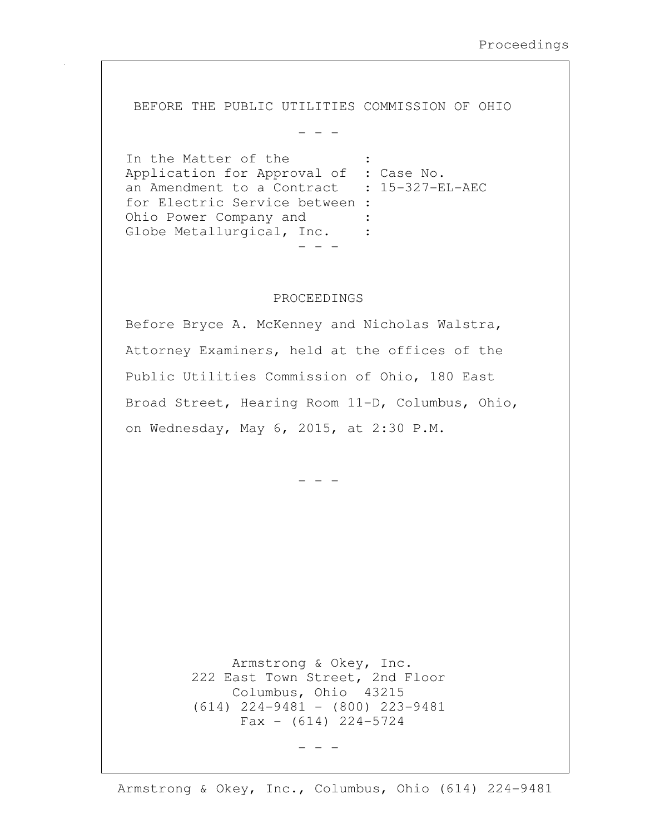BEFORE THE PUBLIC UTILITIES COMMISSION OF OHIO

- - -

In the Matter of the Application for Approval of : Case No. an Amendment to a Contract : 15-327-EL-AEC for Electric Service between : Ohio Power Company and : Globe Metallurgical, Inc. : - - -

## PROCEEDINGS

Before Bryce A. McKenney and Nicholas Walstra, Attorney Examiners, held at the offices of the Public Utilities Commission of Ohio, 180 East Broad Street, Hearing Room 11-D, Columbus, Ohio, on Wednesday, May 6, 2015, at 2:30 P.M.

- - -

 Armstrong & Okey, Inc. 222 East Town Street, 2nd Floor Columbus, Ohio 43215 (614) 224-9481 - (800) 223-9481  $Fax - (614) 224 - 5724$ 

- - -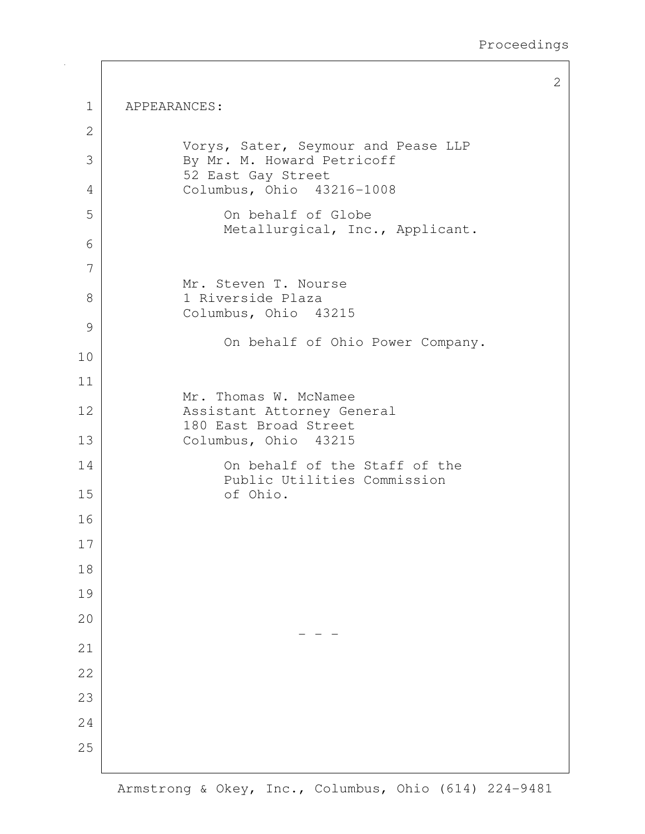|                   |                                                                              | 2 |
|-------------------|------------------------------------------------------------------------------|---|
| $\mathbf 1$       | APPEARANCES:                                                                 |   |
| $\mathbf{2}$      |                                                                              |   |
| 3                 | Vorys, Sater, Seymour and Pease LLP<br>By Mr. M. Howard Petricoff            |   |
| 4                 | 52 East Gay Street<br>Columbus, Ohio 43216-1008                              |   |
| 5                 | On behalf of Globe<br>Metallurgical, Inc., Applicant.                        |   |
| 6                 |                                                                              |   |
| 7                 | Mr. Steven T. Nourse                                                         |   |
| 8                 | 1 Riverside Plaza<br>Columbus, Ohio 43215                                    |   |
| $\mathcal{G}$     |                                                                              |   |
| 10                | On behalf of Ohio Power Company.                                             |   |
| 11                |                                                                              |   |
| $12 \overline{ }$ | Mr. Thomas W. McNamee<br>Assistant Attorney General<br>180 East Broad Street |   |
| 13                | Columbus, Ohio 43215                                                         |   |
| 14                | On behalf of the Staff of the<br>Public Utilities Commission                 |   |
| 15                | of Ohio.                                                                     |   |
| 16                |                                                                              |   |
| 17                |                                                                              |   |
| 18                |                                                                              |   |
| 19                |                                                                              |   |
| 20                |                                                                              |   |
| 21                |                                                                              |   |
| 22                |                                                                              |   |
| 23                |                                                                              |   |
| 24                |                                                                              |   |
| 25                |                                                                              |   |
|                   |                                                                              |   |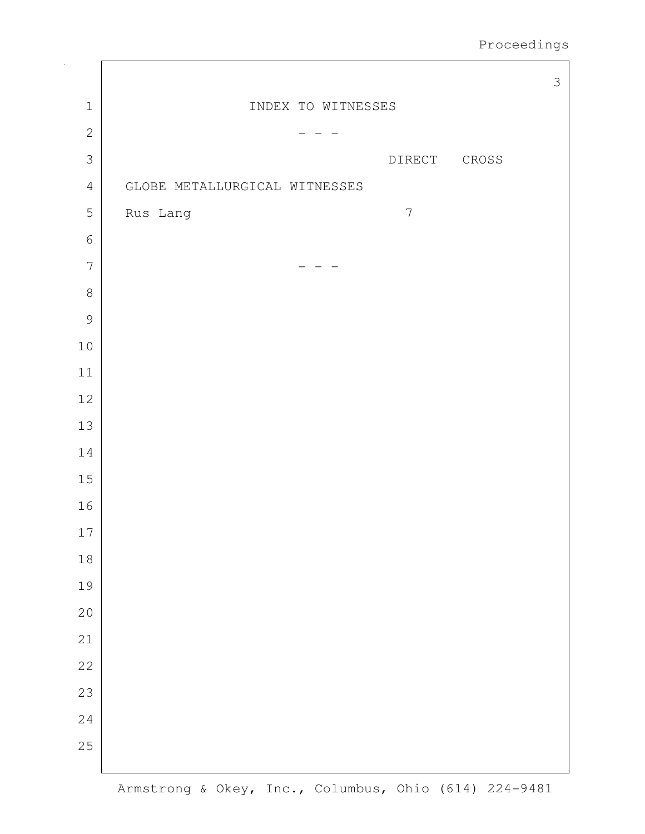|                |                               | $\mathfrak{Z}$ |
|----------------|-------------------------------|----------------|
| $1\,$          | INDEX TO WITNESSES            |                |
| $\mathbf{2}$   |                               |                |
| $\mathcal{S}$  | DIRECT<br>${\tt CROS}$        |                |
| $\sqrt{4}$     | GLOBE METALLURGICAL WITNESSES |                |
| $\mathsf S$    | $\overline{7}$<br>Rus Lang    |                |
| $\epsilon$     |                               |                |
| $\overline{7}$ |                               |                |
| $\,8\,$        |                               |                |
| $\mathcal{G}$  |                               |                |
| $10$           |                               |                |
| $11\,$         |                               |                |
| $12$           |                               |                |
| $13$           |                               |                |
| $1\,4$         |                               |                |
| $15\,$         |                               |                |
| 16             |                               |                |
| $17\,$         |                               |                |
| $18\,$         |                               |                |
| 19             |                               |                |
| 20             |                               |                |
| 21             |                               |                |
| 22             |                               |                |
| 23             |                               |                |
| 24             |                               |                |
| 25             |                               |                |
|                |                               |                |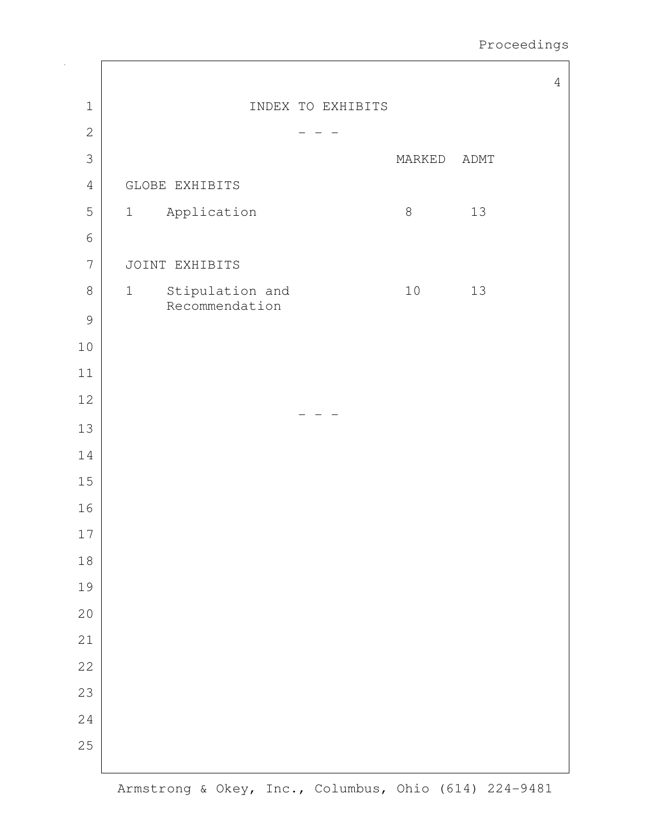Proceedings

|                |                                                                | $\sqrt{4}$ |
|----------------|----------------------------------------------------------------|------------|
| $1\,$          | INDEX TO EXHIBITS                                              |            |
| $\mathbf{2}$   |                                                                |            |
| 3              | MARKED<br>ADMT                                                 |            |
| $\sqrt{4}$     | GLOBE EXHIBITS                                                 |            |
| 5              | Application<br>$\,8\,$<br>13<br>$\mathbf 1$                    |            |
| $\sqrt{6}$     |                                                                |            |
| $\overline{7}$ | JOINT EXHIBITS                                                 |            |
| $\,8\,$        | $10$<br>Stipulation and<br>13<br>$\mathbf 1$<br>Recommendation |            |
| $\mathcal{G}$  |                                                                |            |
| $10$           |                                                                |            |
| $11\,$         |                                                                |            |
| 12             |                                                                |            |
| 13             |                                                                |            |
| 14             |                                                                |            |
| $15\,$         |                                                                |            |
| 16             |                                                                |            |
| $17$           |                                                                |            |
| $18\,$         |                                                                |            |
| 19             |                                                                |            |
| 20             |                                                                |            |
| 21             |                                                                |            |
| 22             |                                                                |            |
| 23             |                                                                |            |
| 24             |                                                                |            |
| 25             |                                                                |            |
|                |                                                                |            |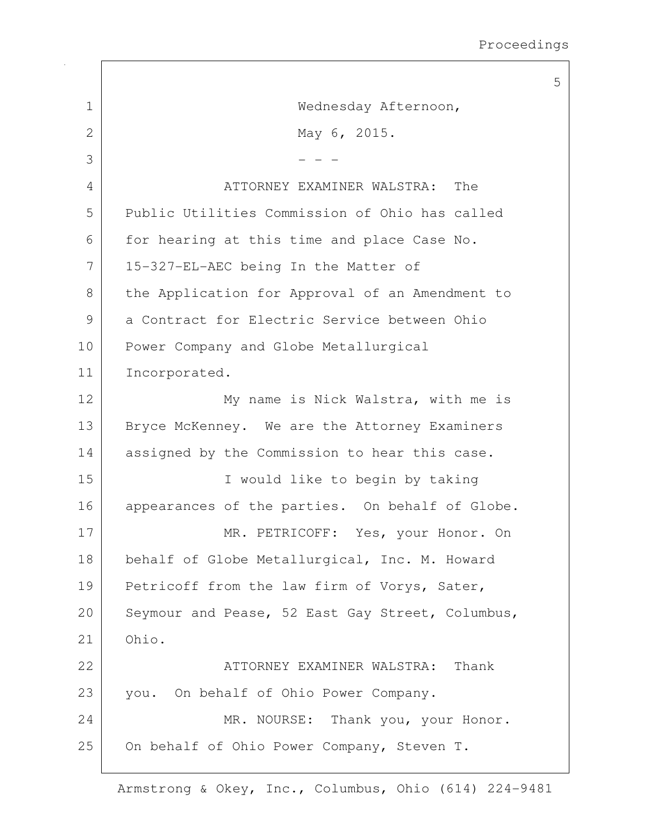|              |                                                  | 5 |
|--------------|--------------------------------------------------|---|
| $\mathbf{1}$ | Wednesday Afternoon,                             |   |
| 2            | May 6, 2015.                                     |   |
| 3            |                                                  |   |
| 4            | The<br>ATTORNEY EXAMINER WALSTRA:                |   |
| 5            | Public Utilities Commission of Ohio has called   |   |
| 6            | for hearing at this time and place Case No.      |   |
| 7            | 15-327-EL-AEC being In the Matter of             |   |
| 8            | the Application for Approval of an Amendment to  |   |
| 9            | a Contract for Electric Service between Ohio     |   |
| 10           | Power Company and Globe Metallurgical            |   |
| 11           | Incorporated.                                    |   |
| 12           | My name is Nick Walstra, with me is              |   |
| 13           | Bryce McKenney. We are the Attorney Examiners    |   |
| 14           | assigned by the Commission to hear this case.    |   |
| 15           | I would like to begin by taking                  |   |
| 16           | appearances of the parties. On behalf of Globe.  |   |
| 17           | MR. PETRICOFF: Yes, your Honor. On               |   |
| 18           | behalf of Globe Metallurgical, Inc. M. Howard    |   |
| 19           | Petricoff from the law firm of Vorys, Sater,     |   |
| 20           | Seymour and Pease, 52 East Gay Street, Columbus, |   |
| 21           | Ohio.                                            |   |
| 22           | Thank<br>ATTORNEY EXAMINER WALSTRA:              |   |
| 23           | you. On behalf of Ohio Power Company.            |   |
| 24           | MR. NOURSE: Thank you, your Honor.               |   |
| 25           | On behalf of Ohio Power Company, Steven T.       |   |
|              |                                                  |   |

 $\sqrt{ }$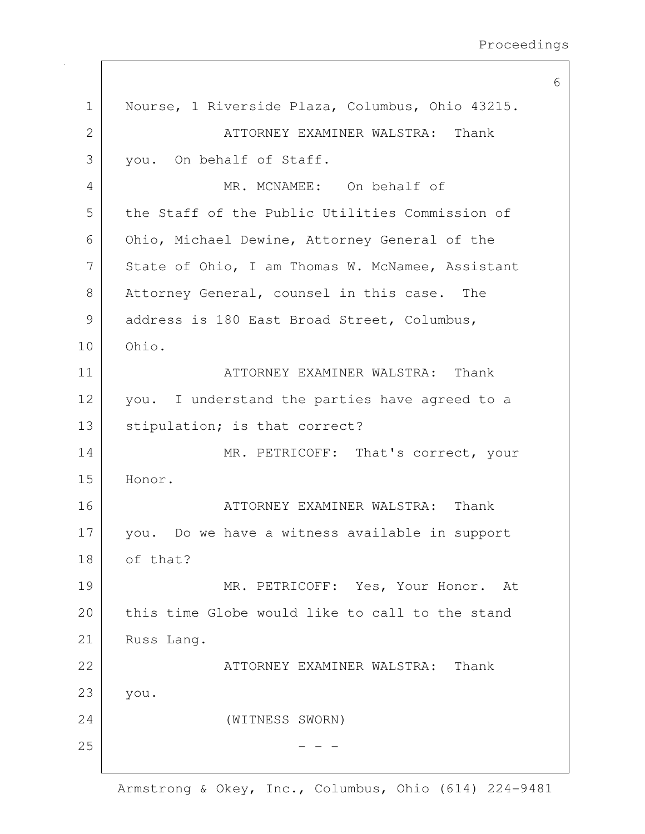|              |                                                  | 6 |
|--------------|--------------------------------------------------|---|
| $\mathbf 1$  | Nourse, 1 Riverside Plaza, Columbus, Ohio 43215. |   |
| $\mathbf{2}$ | ATTORNEY EXAMINER WALSTRA: Thank                 |   |
| 3            | you. On behalf of Staff.                         |   |
| 4            | MR. MCNAMEE: On behalf of                        |   |
| 5            | the Staff of the Public Utilities Commission of  |   |
| 6            | Ohio, Michael Dewine, Attorney General of the    |   |
| 7            | State of Ohio, I am Thomas W. McNamee, Assistant |   |
| 8            | Attorney General, counsel in this case. The      |   |
| 9            | address is 180 East Broad Street, Columbus,      |   |
| 10           | Ohio.                                            |   |
| 11           | ATTORNEY EXAMINER WALSTRA: Thank                 |   |
| 12           | you. I understand the parties have agreed to a   |   |
| 13           | stipulation; is that correct?                    |   |
| 14           | MR. PETRICOFF: That's correct, your              |   |
| 15           | Honor.                                           |   |
| 16           | ATTORNEY EXAMINER WALSTRA: Thank                 |   |
| 17           | you. Do we have a witness available in support   |   |
| 18           | of that?                                         |   |
| 19           | MR. PETRICOFF: Yes, Your Honor. At               |   |
| 20           | this time Globe would like to call to the stand  |   |
| 21           | Russ Lang.                                       |   |
| 22           | Thank<br>ATTORNEY EXAMINER WALSTRA:              |   |
| 23           | you.                                             |   |
| 24           | (WITNESS SWORN)                                  |   |
| 25           |                                                  |   |
|              |                                                  |   |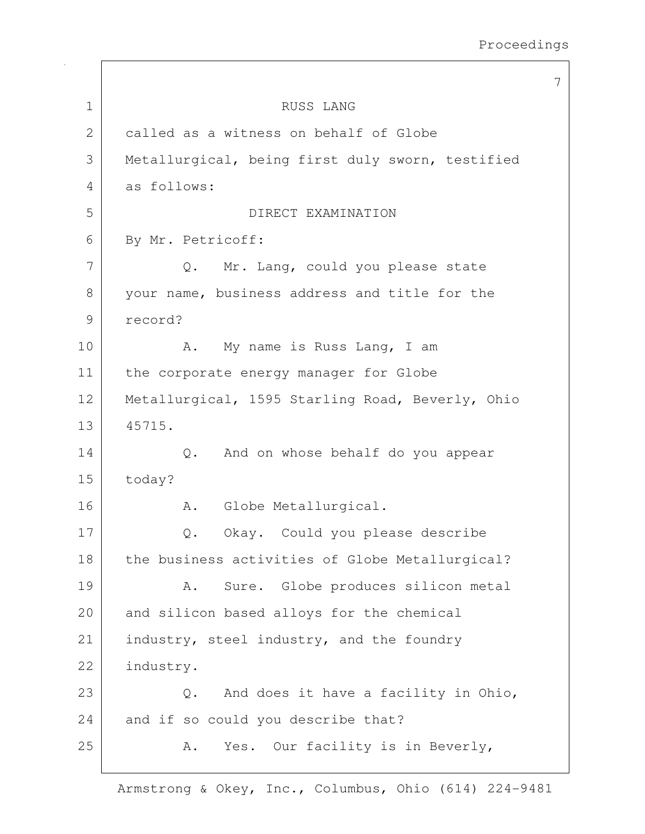|              |                                                  | 7 |
|--------------|--------------------------------------------------|---|
| $\mathbf 1$  | RUSS LANG                                        |   |
| $\mathbf{2}$ | called as a witness on behalf of Globe           |   |
| 3            | Metallurgical, being first duly sworn, testified |   |
| 4            | as follows:                                      |   |
| 5            | DIRECT EXAMINATION                               |   |
| 6            | By Mr. Petricoff:                                |   |
| 7            | Mr. Lang, could you please state<br>$Q$ .        |   |
| 8            | your name, business address and title for the    |   |
| 9            | record?                                          |   |
| 10           | My name is Russ Lang, I am<br>Α.                 |   |
| 11           | the corporate energy manager for Globe           |   |
| 12           | Metallurgical, 1595 Starling Road, Beverly, Ohio |   |
| 13           | 45715.                                           |   |
| 14           | And on whose behalf do you appear<br>Q.          |   |
| 15           | today?                                           |   |
| 16           | Globe Metallurgical.<br>Α.                       |   |
| 17           | Okay. Could you please describe<br>$\mathbb Q$ . |   |
| 18           | the business activities of Globe Metallurgical?  |   |
| 19           | Sure. Globe produces silicon metal<br>Α.         |   |
| 20           | and silicon based alloys for the chemical        |   |
| 21           | industry, steel industry, and the foundry        |   |
| 22           | industry.                                        |   |
| 23           | And does it have a facility in Ohio,<br>$Q$ .    |   |
| 24           | and if so could you describe that?               |   |
| 25           | Yes. Our facility is in Beverly,<br>Α.           |   |
|              |                                                  |   |

 $\overline{1}$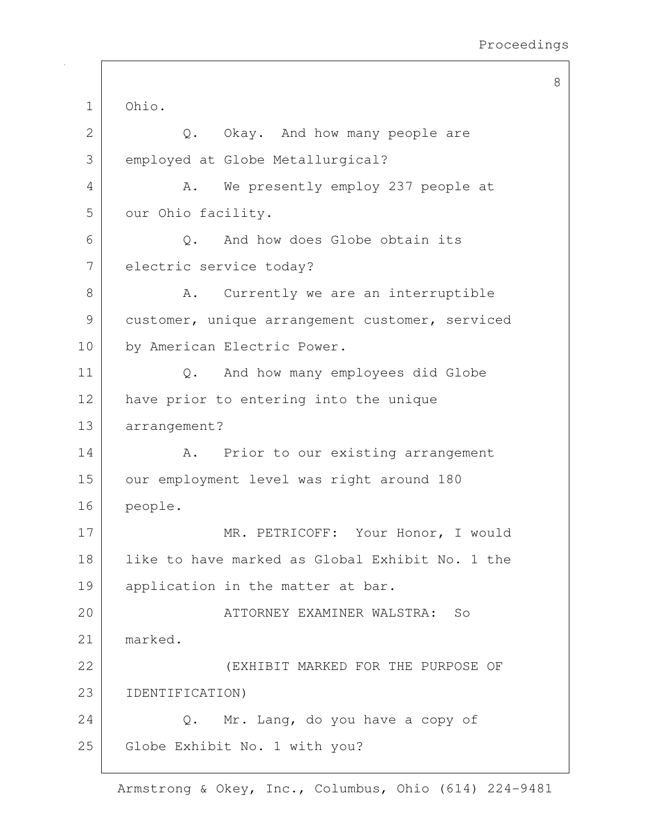8

1 Ohio. 2 Q. Okay. And how many people are 3 employed at Globe Metallurgical? 4 A. We presently employ 237 people at 5 our Ohio facility.  $6$  Q. And how does Globe obtain its 7 electric service today? 8 A. Currently we are an interruptible 9 customer, unique arrangement customer, serviced 10 by American Electric Power. 11 | Q. And how many employees did Globe 12 have prior to entering into the unique 13 arrangement? 14 | A. Prior to our existing arrangement 15 our employment level was right around 180 16 people. 17 MR. PETRICOFF: Your Honor, I would 18 like to have marked as Global Exhibit No. 1 the 19 application in the matter at bar. 20 ATTORNEY EXAMINER WALSTRA: So 21 marked. 22 (EXHIBIT MARKED FOR THE PURPOSE OF 23 IDENTIFICATION) 24 Q. Mr. Lang, do you have a copy of 25 Globe Exhibit No. 1 with you?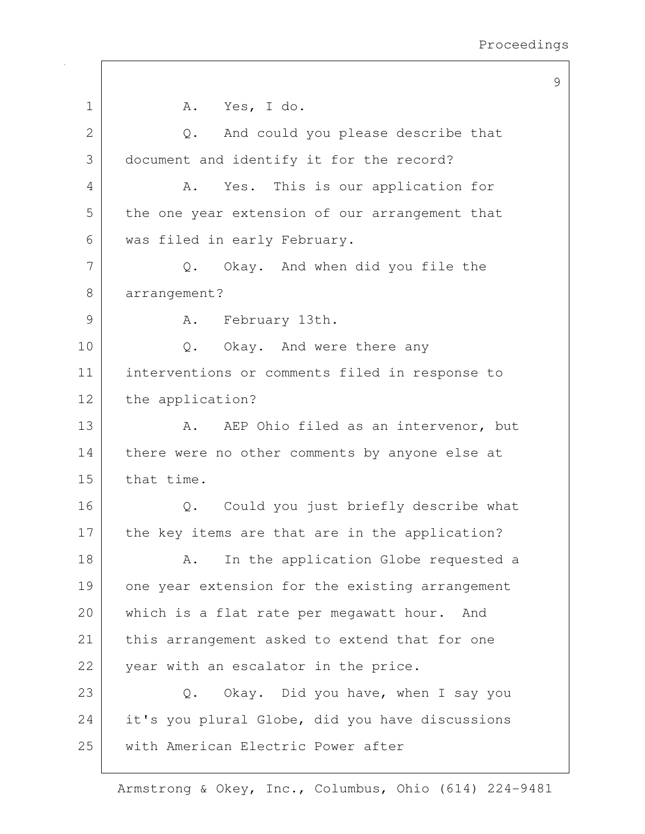9

| $\mathbf 1$    | A. Yes, I do.                                       |
|----------------|-----------------------------------------------------|
| $\overline{2}$ | Q. And could you please describe that               |
| 3              | document and identify it for the record?            |
| 4              | A. Yes. This is our application for                 |
| 5              | the one year extension of our arrangement that      |
| 6              | was filed in early February.                        |
| 7              | Q. Okay. And when did you file the                  |
| 8              | arrangement?                                        |
| 9              | A. February 13th.                                   |
| 10             | Q. Okay. And were there any                         |
| 11             | interventions or comments filed in response to      |
| 12             | the application?                                    |
| 13             | AEP Ohio filed as an intervenor, but<br>Α.          |
| 14             | there were no other comments by anyone else at      |
| 15             | that time.                                          |
| 16             | Q. Could you just briefly describe what             |
| 17             | the key items are that are in the application?      |
| 18             | In the application Globe requested a<br>Α.          |
| 19             | one year extension for the existing arrangement     |
| 20             | which is a flat rate per megawatt hour. And         |
| 21             | this arrangement asked to extend that for one       |
| 22             | year with an escalator in the price.                |
| 23             | Okay. Did you have, when I say you<br>$\mathbb Q$ . |
| 24             | it's you plural Globe, did you have discussions     |
| 25             | with American Electric Power after                  |
|                |                                                     |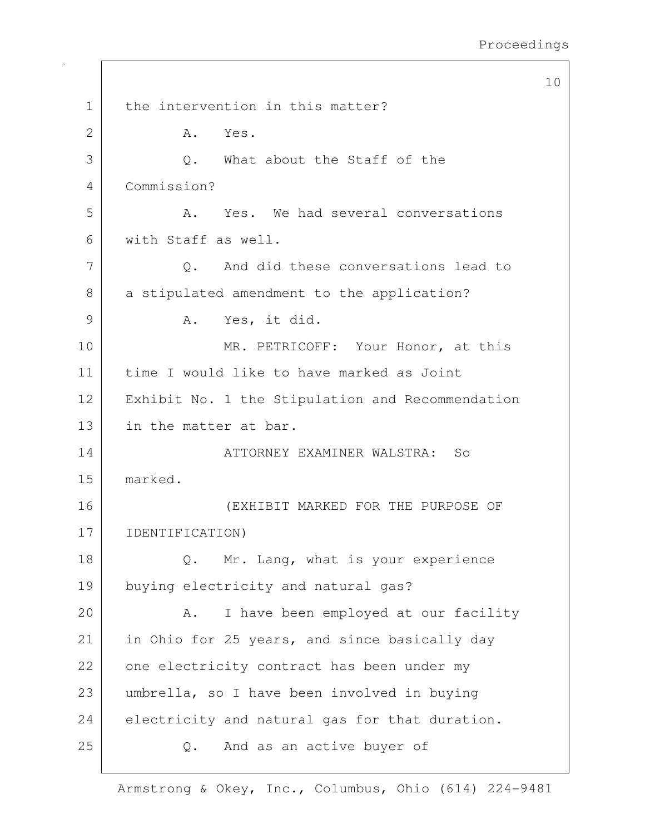```
10
1 the intervention in this matter?
2 A. Yes.
3 Q. What about the Staff of the
4 Commission?
5 A. Yes. We had several conversations
6 with Staff as well.
7 Q. And did these conversations lead to
8 a stipulated amendment to the application?
9 A. Yes, it did.
10 MR. PETRICOFF: Your Honor, at this
11 time I would like to have marked as Joint 
12 | Exhibit No. 1 the Stipulation and Recommendation
13 in the matter at bar.
14 ATTORNEY EXAMINER WALSTRA: So
15 marked.
16 (EXHIBIT MARKED FOR THE PURPOSE OF 
17 IDENTIFICATION) 
18 Q. Mr. Lang, what is your experience
19 buying electricity and natural gas?
20 A. I have been employed at our facility
21 in Ohio for 25 years, and since basically day
22 one electricity contract has been under my
23 umbrella, so I have been involved in buying 
24 electricity and natural gas for that duration.
25 Q. And as an active buyer of
```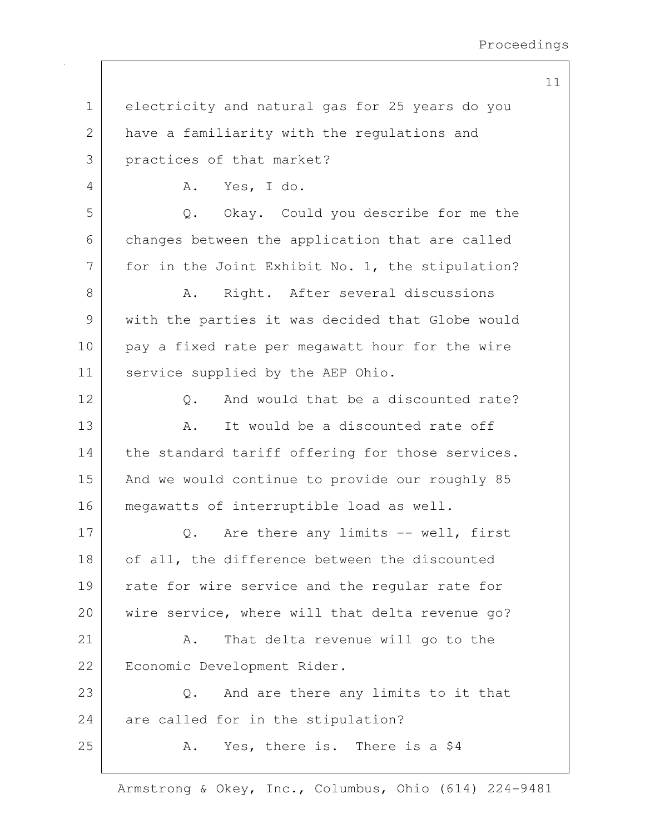| $\mathbf 1$   | electricity and natural gas for 25 years do you  |
|---------------|--------------------------------------------------|
| 2             | have a familiarity with the regulations and      |
| 3             | practices of that market?                        |
| 4             | Yes, I do.<br>Α.                                 |
| 5             | Okay. Could you describe for me the<br>$Q$ .     |
| 6             | changes between the application that are called  |
| 7             | for in the Joint Exhibit No. 1, the stipulation? |
| $8\,$         | Right. After several discussions<br>Α.           |
| $\mathcal{G}$ | with the parties it was decided that Globe would |
| 10            | pay a fixed rate per megawatt hour for the wire  |
| 11            | service supplied by the AEP Ohio.                |
| 12            | And would that be a discounted rate?<br>$Q$ .    |
| 13            | It would be a discounted rate off<br>Α.          |
| 14            | the standard tariff offering for those services. |
| 15            | And we would continue to provide our roughly 85  |
| 16            | megawatts of interruptible load as well.         |
| 17            | Are there any limits -- well, first<br>$Q$ .     |
| 18            | of all, the difference between the discounted    |
| 19            | rate for wire service and the regular rate for   |
| 20            | wire service, where will that delta revenue go?  |
| 21            | That delta revenue will go to the<br>Α.          |
| 22            | Economic Development Rider.                      |
| 23            | And are there any limits to it that<br>$Q$ .     |
| 24            | are called for in the stipulation?               |
| 25            | Yes, there is. There is a \$4<br>Α.              |
|               |                                                  |

Armstrong & Okey, Inc., Columbus, Ohio (614) 224-9481

11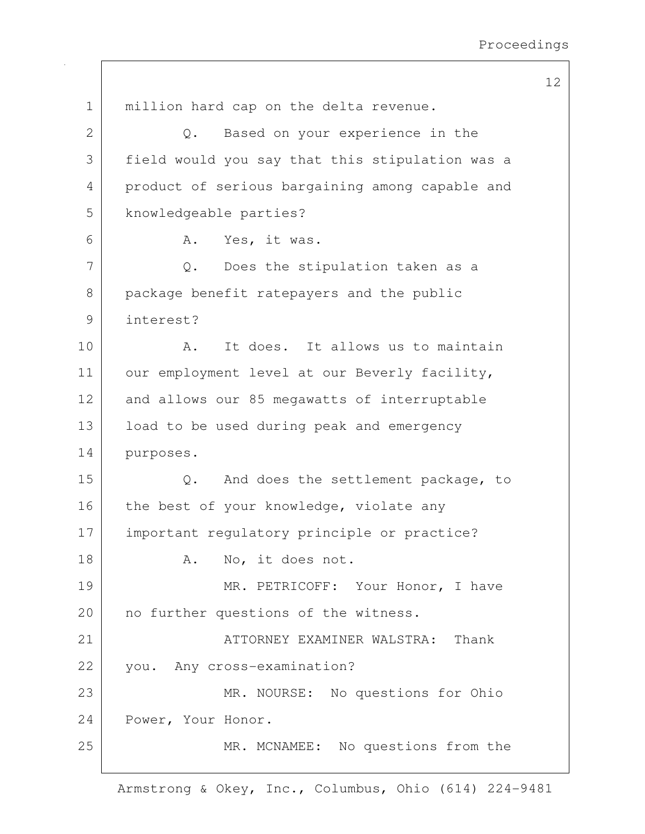12 1 | million hard cap on the delta revenue. 2 Q. Based on your experience in the 3 field would you say that this stipulation was a 4 product of serious bargaining among capable and 5 knowledgeable parties? 6 A. Yes, it was.  $7$  Q. Does the stipulation taken as a 8 package benefit ratepayers and the public 9 interest? 10 | A. It does. It allows us to maintain 11 our employment level at our Beverly facility, 12 and allows our 85 megawatts of interruptable 13 | load to be used during peak and emergency 14 purposes. 15 Q. And does the settlement package, to 16 the best of your knowledge, violate any 17 | important regulatory principle or practice? 18 A. No, it does not. 19 MR. PETRICOFF: Your Honor, I have 20 | no further questions of the witness. 21 ATTORNEY EXAMINER WALSTRA: Thank 22 you. Any cross-examination? 23 MR. NOURSE: No questions for Ohio 24 Power, Your Honor. 25 MR. MCNAMEE: No questions from the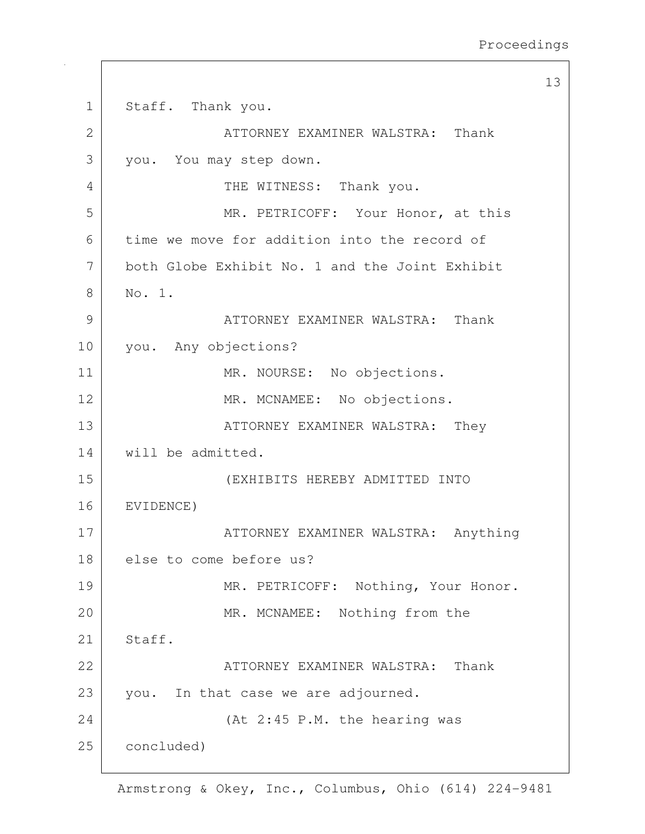13 1 Staff. Thank you. 2 ATTORNEY EXAMINER WALSTRA: Thank 3 you. You may step down. 4 | THE WITNESS: Thank you. 5 | MR. PETRICOFF: Your Honor, at this 6 time we move for addition into the record of 7 both Globe Exhibit No. 1 and the Joint Exhibit 8 No. 1. 9 ATTORNEY EXAMINER WALSTRA: Thank 10 you. Any objections? 11 MR. NOURSE: No objections. 12 MR. MCNAMEE: No objections. 13 | ATTORNEY EXAMINER WALSTRA: They 14 will be admitted. 15 (EXHIBITS HEREBY ADMITTED INTO 16 EVIDENCE) 17 | ATTORNEY EXAMINER WALSTRA: Anything 18 | else to come before us? 19 | MR. PETRICOFF: Nothing, Your Honor. 20 MR. MCNAMEE: Nothing from the 21 Staff. 22 | ATTORNEY EXAMINER WALSTRA: Thank 23 you. In that case we are adjourned. 24 (At 2:45 P.M. the hearing was 25 concluded)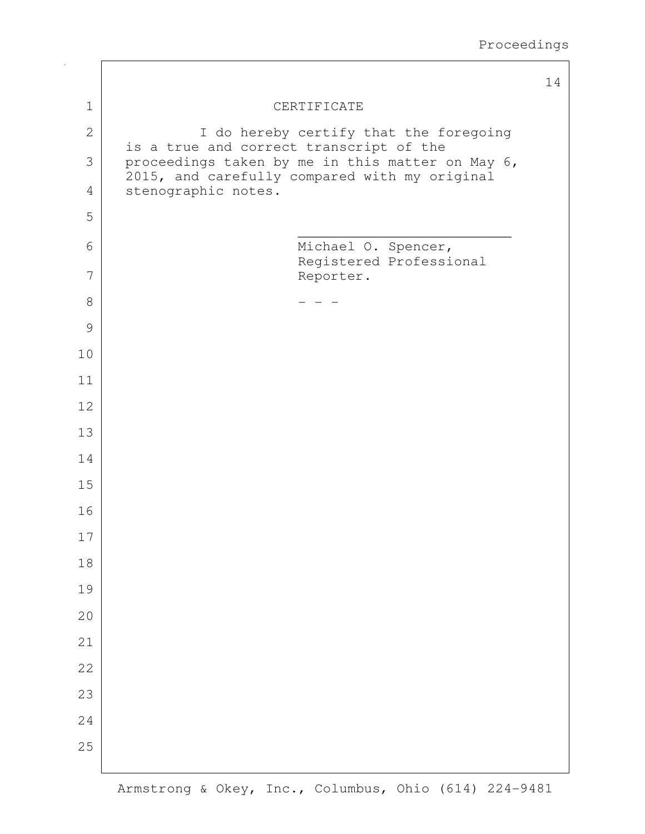|               |                                                                                             | 14 |
|---------------|---------------------------------------------------------------------------------------------|----|
| $\mathbf{1}$  | CERTIFICATE                                                                                 |    |
| $\mathbf{2}$  | I do hereby certify that the foregoing                                                      |    |
| 3             | is a true and correct transcript of the<br>proceedings taken by me in this matter on May 6, |    |
| 4             | 2015, and carefully compared with my original<br>stenographic notes.                        |    |
| 5             |                                                                                             |    |
| 6             | Michael O. Spencer,                                                                         |    |
| 7             | Registered Professional<br>Reporter.                                                        |    |
| $\,8\,$       |                                                                                             |    |
| $\mathcal{G}$ |                                                                                             |    |
| 10            |                                                                                             |    |
| 11            |                                                                                             |    |
| 12            |                                                                                             |    |
| 13            |                                                                                             |    |
| 14            |                                                                                             |    |
| 15            |                                                                                             |    |
| 16            |                                                                                             |    |
| 17            |                                                                                             |    |
| 18            |                                                                                             |    |
| 19            |                                                                                             |    |
| 20            |                                                                                             |    |
| 21            |                                                                                             |    |
| 22            |                                                                                             |    |
| 23            |                                                                                             |    |
| 24            |                                                                                             |    |
| 25            |                                                                                             |    |
|               |                                                                                             |    |

 $\sqrt{ }$